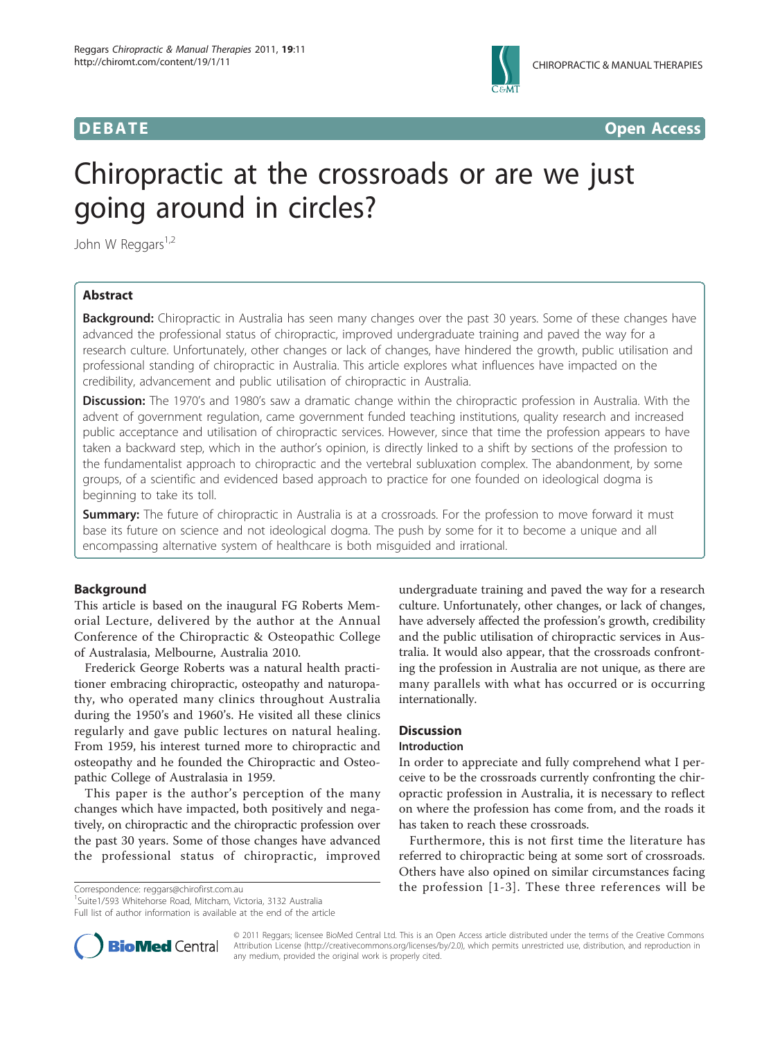

# Chiropractic at the crossroads or are we just going around in circles?

John W Reggars $1,2$ 

# Abstract

**Background:** Chiropractic in Australia has seen many changes over the past 30 years. Some of these changes have advanced the professional status of chiropractic, improved undergraduate training and paved the way for a research culture. Unfortunately, other changes or lack of changes, have hindered the growth, public utilisation and professional standing of chiropractic in Australia. This article explores what influences have impacted on the credibility, advancement and public utilisation of chiropractic in Australia.

Discussion: The 1970's and 1980's saw a dramatic change within the chiropractic profession in Australia. With the advent of government regulation, came government funded teaching institutions, quality research and increased public acceptance and utilisation of chiropractic services. However, since that time the profession appears to have taken a backward step, which in the author's opinion, is directly linked to a shift by sections of the profession to the fundamentalist approach to chiropractic and the vertebral subluxation complex. The abandonment, by some groups, of a scientific and evidenced based approach to practice for one founded on ideological dogma is beginning to take its toll.

**Summary:** The future of chiropractic in Australia is at a crossroads. For the profession to move forward it must base its future on science and not ideological dogma. The push by some for it to become a unique and all encompassing alternative system of healthcare is both misguided and irrational.

### Background

This article is based on the inaugural FG Roberts Memorial Lecture, delivered by the author at the Annual Conference of the Chiropractic & Osteopathic College of Australasia, Melbourne, Australia 2010.

Frederick George Roberts was a natural health practitioner embracing chiropractic, osteopathy and naturopathy, who operated many clinics throughout Australia during the 1950's and 1960's. He visited all these clinics regularly and gave public lectures on natural healing. From 1959, his interest turned more to chiropractic and osteopathy and he founded the Chiropractic and Osteopathic College of Australasia in 1959.

This paper is the author's perception of the many changes which have impacted, both positively and negatively, on chiropractic and the chiropractic profession over the past 30 years. Some of those changes have advanced the professional status of chiropractic, improved

<sup>1</sup>Suite1/593 Whitehorse Road, Mitcham, Victoria, 3132 Australia Full list of author information is available at the end of the article

undergraduate training and paved the way for a research culture. Unfortunately, other changes, or lack of changes, have adversely affected the profession's growth, credibility and the public utilisation of chiropractic services in Australia. It would also appear, that the crossroads confronting the profession in Australia are not unique, as there are many parallels with what has occurred or is occurring internationally.

# **Discussion**

#### Introduction

In order to appreciate and fully comprehend what I perceive to be the crossroads currently confronting the chiropractic profession in Australia, it is necessary to reflect on where the profession has come from, and the roads it has taken to reach these crossroads.

Furthermore, this is not first time the literature has referred to chiropractic being at some sort of crossroads. Others have also opined on similar circumstances facing Correspondence: [reggars@chirofirst.com.au](mailto:reggars@chirofirst.com.au) the profession [[1-3](#page-7-0)]. These three references will be



© 2011 Reggars; licensee BioMed Central Ltd. This is an Open Access article distributed under the terms of the Creative Commons Attribution License [\(http://creativecommons.org/licenses/by/2.0](http://creativecommons.org/licenses/by/2.0)), which permits unrestricted use, distribution, and reproduction in any medium, provided the original work is properly cited.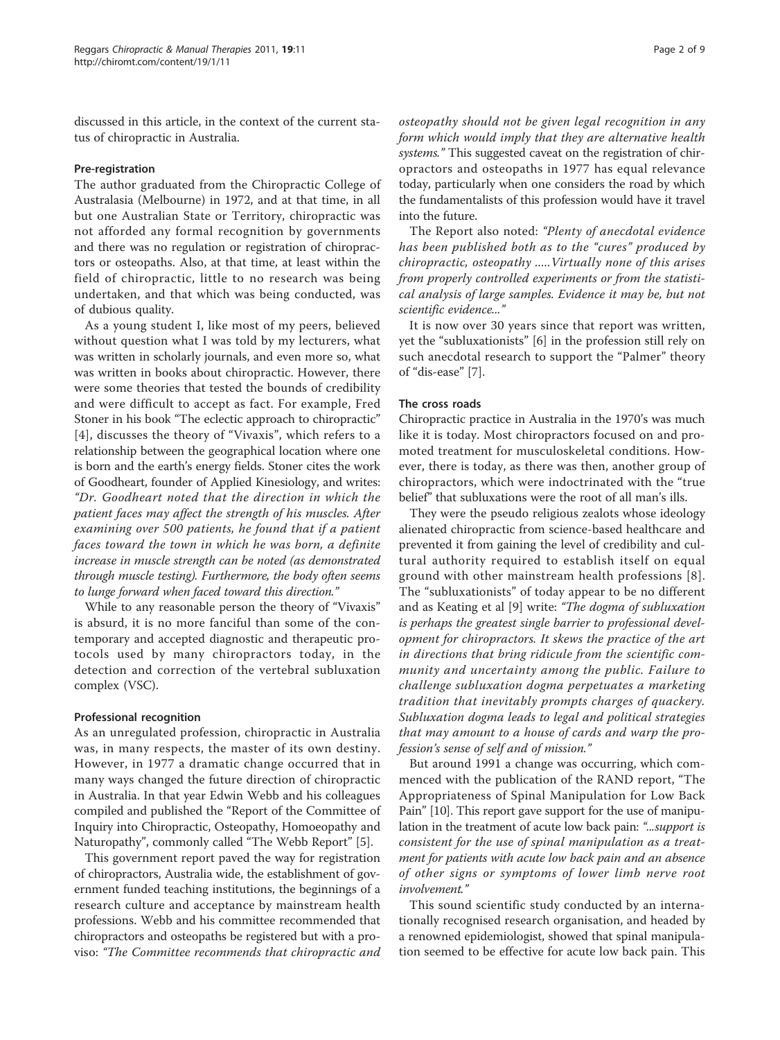discussed in this article, in the context of the current status of chiropractic in Australia.

#### Pre-registration

The author graduated from the Chiropractic College of Australasia (Melbourne) in 1972, and at that time, in all but one Australian State or Territory, chiropractic was not afforded any formal recognition by governments and there was no regulation or registration of chiropractors or osteopaths. Also, at that time, at least within the field of chiropractic, little to no research was being undertaken, and that which was being conducted, was of dubious quality.

As a young student I, like most of my peers, believed without question what I was told by my lecturers, what was written in scholarly journals, and even more so, what was written in books about chiropractic. However, there were some theories that tested the bounds of credibility and were difficult to accept as fact. For example, Fred Stoner in his book "The eclectic approach to chiropractic" [[4](#page-7-0)], discusses the theory of "Vivaxis", which refers to a relationship between the geographical location where one is born and the earth's energy fields. Stoner cites the work of Goodheart, founder of Applied Kinesiology, and writes: "Dr. Goodheart noted that the direction in which the patient faces may affect the strength of his muscles. After examining over 500 patients, he found that if a patient faces toward the town in which he was born, a definite increase in muscle strength can be noted (as demonstrated through muscle testing). Furthermore, the body often seems to lunge forward when faced toward this direction."

While to any reasonable person the theory of "Vivaxis" is absurd, it is no more fanciful than some of the contemporary and accepted diagnostic and therapeutic protocols used by many chiropractors today, in the detection and correction of the vertebral subluxation complex (VSC).

#### Professional recognition

As an unregulated profession, chiropractic in Australia was, in many respects, the master of its own destiny. However, in 1977 a dramatic change occurred that in many ways changed the future direction of chiropractic in Australia. In that year Edwin Webb and his colleagues compiled and published the "Report of the Committee of Inquiry into Chiropractic, Osteopathy, Homoeopathy and Naturopathy", commonly called "The Webb Report" [[5\]](#page-7-0).

This government report paved the way for registration of chiropractors, Australia wide, the establishment of government funded teaching institutions, the beginnings of a research culture and acceptance by mainstream health professions. Webb and his committee recommended that chiropractors and osteopaths be registered but with a proviso: "The Committee recommends that chiropractic and osteopathy should not be given legal recognition in any form which would imply that they are alternative health systems." This suggested caveat on the registration of chiropractors and osteopaths in 1977 has equal relevance today, particularly when one considers the road by which the fundamentalists of this profession would have it travel into the future.

The Report also noted: "Plenty of anecdotal evidence has been published both as to the "cures" produced by chiropractic, osteopathy .....Virtually none of this arises from properly controlled experiments or from the statistical analysis of large samples. Evidence it may be, but not scientific evidence..."

It is now over 30 years since that report was written, yet the "subluxationists" [[6\]](#page-7-0) in the profession still rely on such anecdotal research to support the "Palmer" theory of "dis-ease" [\[7](#page-7-0)].

#### The cross roads

Chiropractic practice in Australia in the 1970's was much like it is today. Most chiropractors focused on and promoted treatment for musculoskeletal conditions. However, there is today, as there was then, another group of chiropractors, which were indoctrinated with the "true belief" that subluxations were the root of all man's ills.

They were the pseudo religious zealots whose ideology alienated chiropractic from science-based healthcare and prevented it from gaining the level of credibility and cultural authority required to establish itself on equal ground with other mainstream health professions [[8](#page-7-0)]. The "subluxationists" of today appear to be no different and as Keating et al [\[9](#page-7-0)] write: "The dogma of subluxation is perhaps the greatest single barrier to professional development for chiropractors. It skews the practice of the art in directions that bring ridicule from the scientific community and uncertainty among the public. Failure to challenge subluxation dogma perpetuates a marketing tradition that inevitably prompts charges of quackery. Subluxation dogma leads to legal and political strategies that may amount to a house of cards and warp the profession's sense of self and of mission."

But around 1991 a change was occurring, which commenced with the publication of the RAND report, "The Appropriateness of Spinal Manipulation for Low Back Pain" [\[10\]](#page-7-0). This report gave support for the use of manipulation in the treatment of acute low back pain: "...support is consistent for the use of spinal manipulation as a treatment for patients with acute low back pain and an absence of other signs or symptoms of lower limb nerve root involvement."

This sound scientific study conducted by an internationally recognised research organisation, and headed by a renowned epidemiologist, showed that spinal manipulation seemed to be effective for acute low back pain. This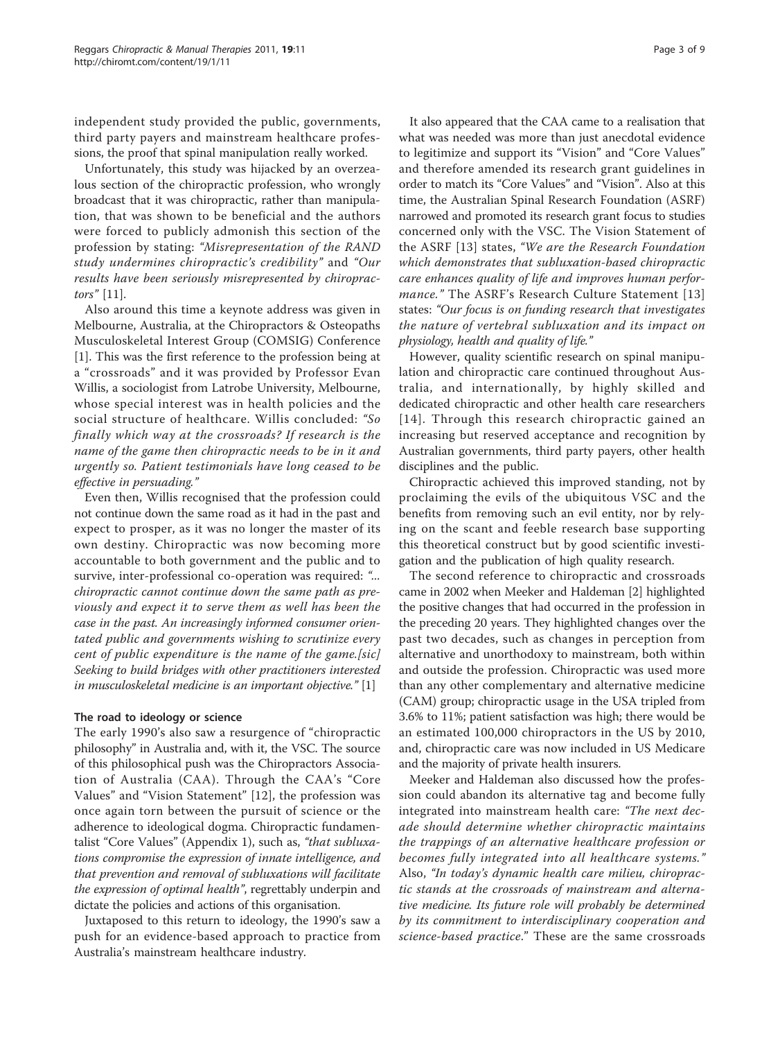independent study provided the public, governments, third party payers and mainstream healthcare professions, the proof that spinal manipulation really worked.

Unfortunately, this study was hijacked by an overzealous section of the chiropractic profession, who wrongly broadcast that it was chiropractic, rather than manipulation, that was shown to be beneficial and the authors were forced to publicly admonish this section of the profession by stating: "Misrepresentation of the RAND study undermines chiropractic's credibility" and "Our results have been seriously misrepresented by chiropractors" [\[11](#page-7-0)].

Also around this time a keynote address was given in Melbourne, Australia, at the Chiropractors & Osteopaths Musculoskeletal Interest Group (COMSIG) Conference [[1\]](#page-7-0). This was the first reference to the profession being at a "crossroads" and it was provided by Professor Evan Willis, a sociologist from Latrobe University, Melbourne, whose special interest was in health policies and the social structure of healthcare. Willis concluded: "So finally which way at the crossroads? If research is the name of the game then chiropractic needs to be in it and urgently so. Patient testimonials have long ceased to be effective in persuading."

Even then, Willis recognised that the profession could not continue down the same road as it had in the past and expect to prosper, as it was no longer the master of its own destiny. Chiropractic was now becoming more accountable to both government and the public and to survive, inter-professional co-operation was required: "... chiropractic cannot continue down the same path as previously and expect it to serve them as well has been the case in the past. An increasingly informed consumer orientated public and governments wishing to scrutinize every cent of public expenditure is the name of the game.[sic] Seeking to build bridges with other practitioners interested in musculoskeletal medicine is an important objective." [\[1\]](#page-7-0)

### The road to ideology or science

The early 1990's also saw a resurgence of "chiropractic philosophy" in Australia and, with it, the VSC. The source of this philosophical push was the Chiropractors Association of Australia (CAA). Through the CAA's "Core Values" and "Vision Statement" [[12\]](#page-7-0), the profession was once again torn between the pursuit of science or the adherence to ideological dogma. Chiropractic fundamentalist "Core Values" (Appendix 1), such as, "that subluxations compromise the expression of innate intelligence, and that prevention and removal of subluxations will facilitate the expression of optimal health", regrettably underpin and dictate the policies and actions of this organisation.

Juxtaposed to this return to ideology, the 1990's saw a push for an evidence-based approach to practice from Australia's mainstream healthcare industry.

It also appeared that the CAA came to a realisation that what was needed was more than just anecdotal evidence to legitimize and support its "Vision" and "Core Values" and therefore amended its research grant guidelines in order to match its "Core Values" and "Vision". Also at this time, the Australian Spinal Research Foundation (ASRF) narrowed and promoted its research grant focus to studies concerned only with the VSC. The Vision Statement of the ASRF [\[13\]](#page-7-0) states, "We are the Research Foundation which demonstrates that subluxation-based chiropractic care enhances quality of life and improves human perfor-mance." The ASRF's Research Culture Statement [[13](#page-7-0)] states: "Our focus is on funding research that investigates the nature of vertebral subluxation and its impact on physiology, health and quality of life."

However, quality scientific research on spinal manipulation and chiropractic care continued throughout Australia, and internationally, by highly skilled and dedicated chiropractic and other health care researchers [[14](#page-7-0)]. Through this research chiropractic gained an increasing but reserved acceptance and recognition by Australian governments, third party payers, other health disciplines and the public.

Chiropractic achieved this improved standing, not by proclaiming the evils of the ubiquitous VSC and the benefits from removing such an evil entity, nor by relying on the scant and feeble research base supporting this theoretical construct but by good scientific investigation and the publication of high quality research.

The second reference to chiropractic and crossroads came in 2002 when Meeker and Haldeman [\[2\]](#page-7-0) highlighted the positive changes that had occurred in the profession in the preceding 20 years. They highlighted changes over the past two decades, such as changes in perception from alternative and unorthodoxy to mainstream, both within and outside the profession. Chiropractic was used more than any other complementary and alternative medicine (CAM) group; chiropractic usage in the USA tripled from 3.6% to 11%; patient satisfaction was high; there would be an estimated 100,000 chiropractors in the US by 2010, and, chiropractic care was now included in US Medicare and the majority of private health insurers.

Meeker and Haldeman also discussed how the profession could abandon its alternative tag and become fully integrated into mainstream health care: "The next decade should determine whether chiropractic maintains the trappings of an alternative healthcare profession or becomes fully integrated into all healthcare systems." Also, "In today's dynamic health care milieu, chiropractic stands at the crossroads of mainstream and alternative medicine. Its future role will probably be determined by its commitment to interdisciplinary cooperation and science-based practice." These are the same crossroads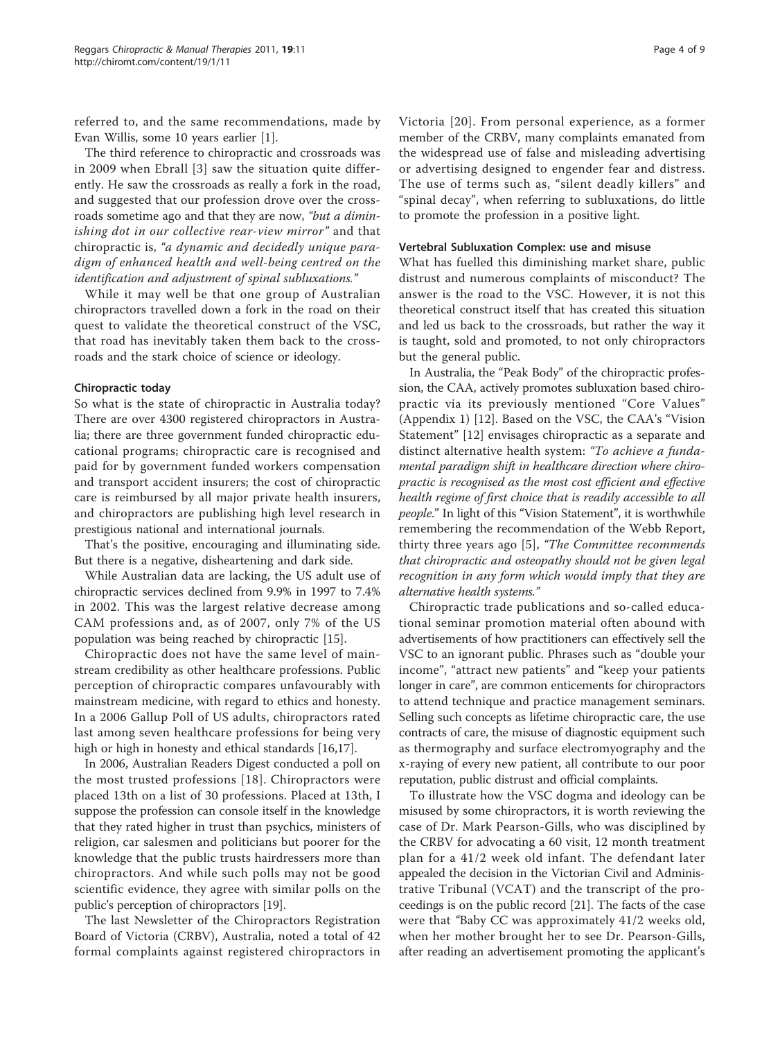referred to, and the same recommendations, made by Evan Willis, some 10 years earlier [\[1](#page-7-0)].

The third reference to chiropractic and crossroads was in 2009 when Ebrall [[3](#page-7-0)] saw the situation quite differently. He saw the crossroads as really a fork in the road, and suggested that our profession drove over the crossroads sometime ago and that they are now, "but a diminishing dot in our collective rear-view mirror" and that chiropractic is, "a dynamic and decidedly unique paradigm of enhanced health and well-being centred on the identification and adjustment of spinal subluxations."

While it may well be that one group of Australian chiropractors travelled down a fork in the road on their quest to validate the theoretical construct of the VSC, that road has inevitably taken them back to the crossroads and the stark choice of science or ideology.

#### Chiropractic today

So what is the state of chiropractic in Australia today? There are over 4300 registered chiropractors in Australia; there are three government funded chiropractic educational programs; chiropractic care is recognised and paid for by government funded workers compensation and transport accident insurers; the cost of chiropractic care is reimbursed by all major private health insurers, and chiropractors are publishing high level research in prestigious national and international journals.

That's the positive, encouraging and illuminating side. But there is a negative, disheartening and dark side.

While Australian data are lacking, the US adult use of chiropractic services declined from 9.9% in 1997 to 7.4% in 2002. This was the largest relative decrease among CAM professions and, as of 2007, only 7% of the US population was being reached by chiropractic [[15\]](#page-7-0).

Chiropractic does not have the same level of mainstream credibility as other healthcare professions. Public perception of chiropractic compares unfavourably with mainstream medicine, with regard to ethics and honesty. In a 2006 Gallup Poll of US adults, chiropractors rated last among seven healthcare professions for being very high or high in honesty and ethical standards [[16,](#page-7-0)[17](#page-8-0)].

In 2006, Australian Readers Digest conducted a poll on the most trusted professions [\[18\]](#page-8-0). Chiropractors were placed 13th on a list of 30 professions. Placed at 13th, I suppose the profession can console itself in the knowledge that they rated higher in trust than psychics, ministers of religion, car salesmen and politicians but poorer for the knowledge that the public trusts hairdressers more than chiropractors. And while such polls may not be good scientific evidence, they agree with similar polls on the public's perception of chiropractors [[19](#page-8-0)].

The last Newsletter of the Chiropractors Registration Board of Victoria (CRBV), Australia, noted a total of 42 formal complaints against registered chiropractors in

Victoria [[20\]](#page-8-0). From personal experience, as a former member of the CRBV, many complaints emanated from the widespread use of false and misleading advertising or advertising designed to engender fear and distress. The use of terms such as, "silent deadly killers" and "spinal decay", when referring to subluxations, do little to promote the profession in a positive light.

#### Vertebral Subluxation Complex: use and misuse

What has fuelled this diminishing market share, public distrust and numerous complaints of misconduct? The answer is the road to the VSC. However, it is not this theoretical construct itself that has created this situation and led us back to the crossroads, but rather the way it is taught, sold and promoted, to not only chiropractors but the general public.

In Australia, the "Peak Body" of the chiropractic profession, the CAA, actively promotes subluxation based chiropractic via its previously mentioned "Core Values" (Appendix 1) [\[12](#page-7-0)]. Based on the VSC, the CAA's "Vision Statement" [[12\]](#page-7-0) envisages chiropractic as a separate and distinct alternative health system: "To achieve a fundamental paradigm shift in healthcare direction where chiropractic is recognised as the most cost efficient and effective health regime of first choice that is readily accessible to all people." In light of this "Vision Statement", it is worthwhile remembering the recommendation of the Webb Report, thirty three years ago [\[5](#page-7-0)], "The Committee recommends that chiropractic and osteopathy should not be given legal recognition in any form which would imply that they are alternative health systems."

Chiropractic trade publications and so-called educational seminar promotion material often abound with advertisements of how practitioners can effectively sell the VSC to an ignorant public. Phrases such as "double your income", "attract new patients" and "keep your patients longer in care", are common enticements for chiropractors to attend technique and practice management seminars. Selling such concepts as lifetime chiropractic care, the use contracts of care, the misuse of diagnostic equipment such as thermography and surface electromyography and the x-raying of every new patient, all contribute to our poor reputation, public distrust and official complaints.

To illustrate how the VSC dogma and ideology can be misused by some chiropractors, it is worth reviewing the case of Dr. Mark Pearson-Gills, who was disciplined by the CRBV for advocating a 60 visit, 12 month treatment plan for a 41/2 week old infant. The defendant later appealed the decision in the Victorian Civil and Administrative Tribunal (VCAT) and the transcript of the proceedings is on the public record [[21](#page-8-0)]. The facts of the case were that "Baby CC was approximately 41/2 weeks old, when her mother brought her to see Dr. Pearson-Gills, after reading an advertisement promoting the applicant's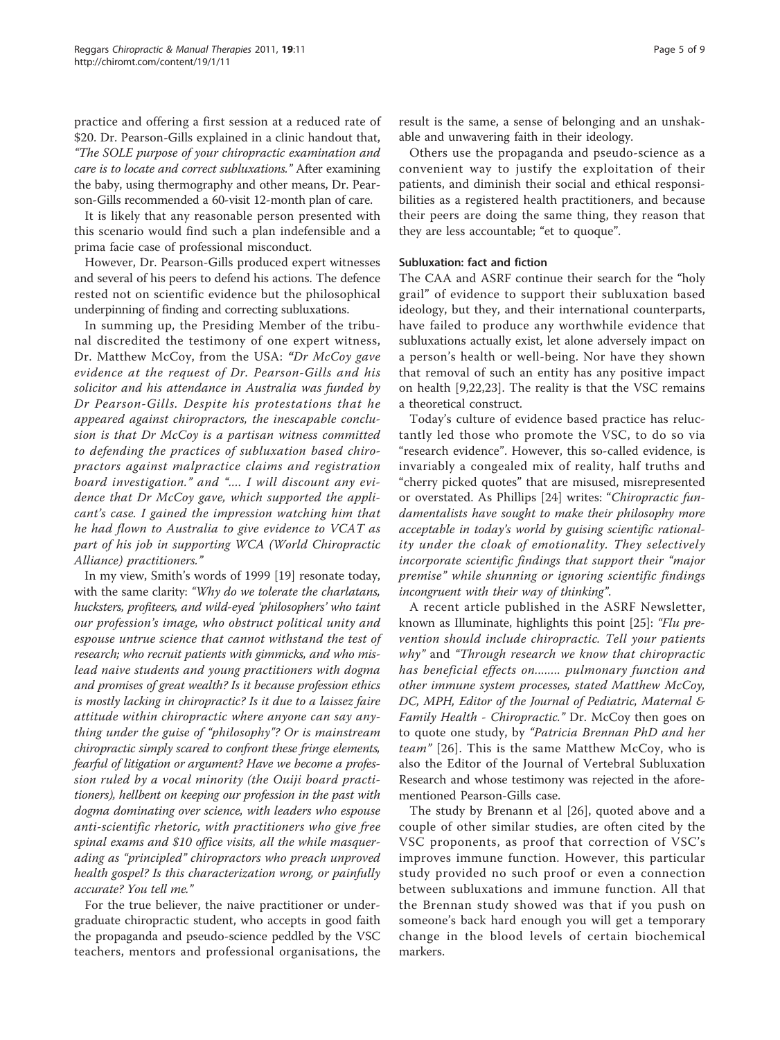practice and offering a first session at a reduced rate of \$20. Dr. Pearson-Gills explained in a clinic handout that, "The SOLE purpose of your chiropractic examination and care is to locate and correct subluxations." After examining the baby, using thermography and other means, Dr. Pearson-Gills recommended a 60-visit 12-month plan of care.

It is likely that any reasonable person presented with this scenario would find such a plan indefensible and a prima facie case of professional misconduct.

However, Dr. Pearson-Gills produced expert witnesses and several of his peers to defend his actions. The defence rested not on scientific evidence but the philosophical underpinning of finding and correcting subluxations.

In summing up, the Presiding Member of the tribunal discredited the testimony of one expert witness, Dr. Matthew McCoy, from the USA: "Dr McCoy gave evidence at the request of Dr. Pearson-Gills and his solicitor and his attendance in Australia was funded by Dr Pearson-Gills. Despite his protestations that he appeared against chiropractors, the inescapable conclusion is that Dr McCoy is a partisan witness committed to defending the practices of subluxation based chiropractors against malpractice claims and registration board investigation." and ".... I will discount any evidence that Dr McCoy gave, which supported the applicant's case. I gained the impression watching him that he had flown to Australia to give evidence to VCAT as part of his job in supporting WCA (World Chiropractic Alliance) practitioners."

In my view, Smith's words of 1999 [[19](#page-8-0)] resonate today, with the same clarity: "Why do we tolerate the charlatans, hucksters, profiteers, and wild-eyed 'philosophers' who taint our profession's image, who obstruct political unity and espouse untrue science that cannot withstand the test of research; who recruit patients with gimmicks, and who mislead naive students and young practitioners with dogma and promises of great wealth? Is it because profession ethics is mostly lacking in chiropractic? Is it due to a laissez faire attitude within chiropractic where anyone can say anything under the guise of "philosophy"? Or is mainstream chiropractic simply scared to confront these fringe elements, fearful of litigation or argument? Have we become a profession ruled by a vocal minority (the Ouiji board practitioners), hellbent on keeping our profession in the past with dogma dominating over science, with leaders who espouse anti-scientific rhetoric, with practitioners who give free spinal exams and \$10 office visits, all the while masquerading as "principled" chiropractors who preach unproved health gospel? Is this characterization wrong, or painfully accurate? You tell me."

For the true believer, the naive practitioner or undergraduate chiropractic student, who accepts in good faith the propaganda and pseudo-science peddled by the VSC teachers, mentors and professional organisations, the result is the same, a sense of belonging and an unshakable and unwavering faith in their ideology.

Others use the propaganda and pseudo-science as a convenient way to justify the exploitation of their patients, and diminish their social and ethical responsibilities as a registered health practitioners, and because their peers are doing the same thing, they reason that they are less accountable; "et to quoque".

#### Subluxation: fact and fiction

The CAA and ASRF continue their search for the "holy grail" of evidence to support their subluxation based ideology, but they, and their international counterparts, have failed to produce any worthwhile evidence that subluxations actually exist, let alone adversely impact on a person's health or well-being. Nor have they shown that removal of such an entity has any positive impact on health [[9,](#page-7-0)[22,23](#page-8-0)]. The reality is that the VSC remains a theoretical construct.

Today's culture of evidence based practice has reluctantly led those who promote the VSC, to do so via "research evidence". However, this so-called evidence, is invariably a congealed mix of reality, half truths and "cherry picked quotes" that are misused, misrepresented or overstated. As Phillips [\[24](#page-8-0)] writes: "Chiropractic fundamentalists have sought to make their philosophy more acceptable in today's world by guising scientific rationality under the cloak of emotionality. They selectively incorporate scientific findings that support their "major premise" while shunning or ignoring scientific findings incongruent with their way of thinking".

A recent article published in the ASRF Newsletter, known as Illuminate, highlights this point [[25\]](#page-8-0): "Flu prevention should include chiropractic. Tell your patients why" and "Through research we know that chiropractic has beneficial effects on........ pulmonary function and other immune system processes, stated Matthew McCoy, DC, MPH, Editor of the Journal of Pediatric, Maternal & Family Health - Chiropractic." Dr. McCoy then goes on to quote one study, by "Patricia Brennan PhD and her team" [[26](#page-8-0)]. This is the same Matthew McCoy, who is also the Editor of the Journal of Vertebral Subluxation Research and whose testimony was rejected in the aforementioned Pearson-Gills case.

The study by Brenann et al [[26](#page-8-0)], quoted above and a couple of other similar studies, are often cited by the VSC proponents, as proof that correction of VSC's improves immune function. However, this particular study provided no such proof or even a connection between subluxations and immune function. All that the Brennan study showed was that if you push on someone's back hard enough you will get a temporary change in the blood levels of certain biochemical markers.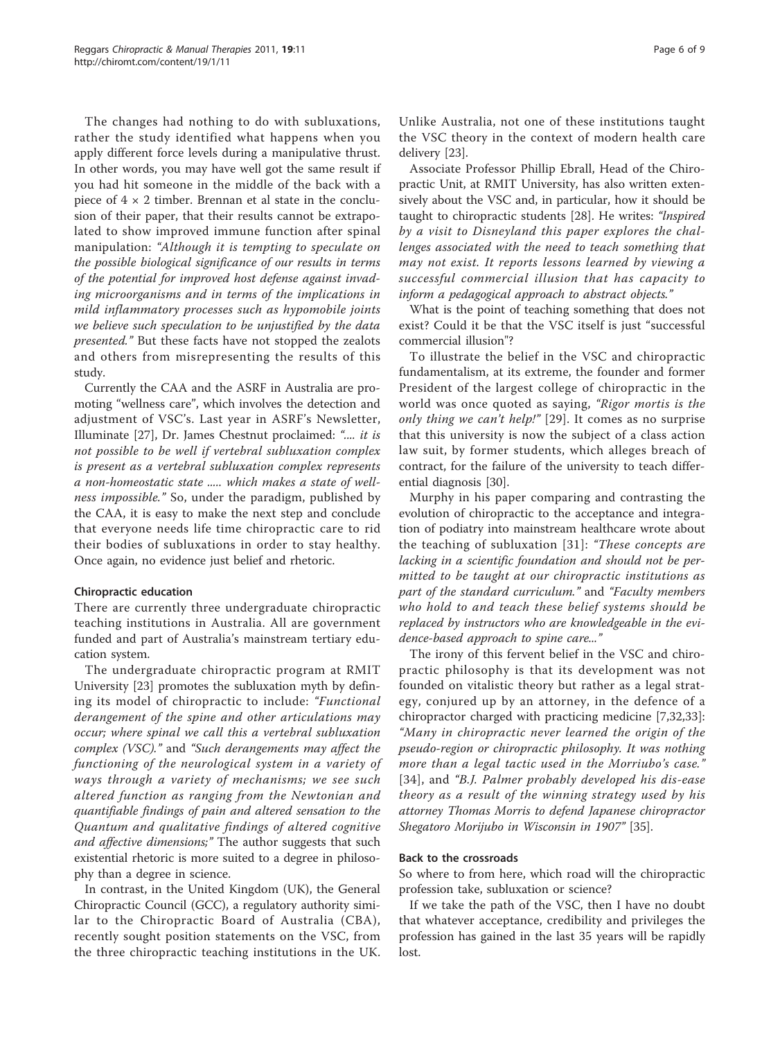The changes had nothing to do with subluxations, rather the study identified what happens when you apply different force levels during a manipulative thrust. In other words, you may have well got the same result if you had hit someone in the middle of the back with a piece of  $4 \times 2$  timber. Brennan et al state in the conclusion of their paper, that their results cannot be extrapolated to show improved immune function after spinal manipulation: "Although it is tempting to speculate on the possible biological significance of our results in terms of the potential for improved host defense against invading microorganisms and in terms of the implications in mild inflammatory processes such as hypomobile joints we believe such speculation to be unjustified by the data presented." But these facts have not stopped the zealots and others from misrepresenting the results of this study.

Currently the CAA and the ASRF in Australia are promoting "wellness care", which involves the detection and adjustment of VSC's. Last year in ASRF's Newsletter, Illuminate [\[27](#page-8-0)], Dr. James Chestnut proclaimed: ".... it is not possible to be well if vertebral subluxation complex is present as a vertebral subluxation complex represents a non-homeostatic state ..... which makes a state of wellness impossible." So, under the paradigm, published by the CAA, it is easy to make the next step and conclude that everyone needs life time chiropractic care to rid their bodies of subluxations in order to stay healthy. Once again, no evidence just belief and rhetoric.

#### Chiropractic education

There are currently three undergraduate chiropractic teaching institutions in Australia. All are government funded and part of Australia's mainstream tertiary education system.

The undergraduate chiropractic program at RMIT University [[23](#page-8-0)] promotes the subluxation myth by defining its model of chiropractic to include: "Functional derangement of the spine and other articulations may occur; where spinal we call this a vertebral subluxation complex (VSC)." and "Such derangements may affect the functioning of the neurological system in a variety of ways through a variety of mechanisms; we see such altered function as ranging from the Newtonian and quantifiable findings of pain and altered sensation to the Quantum and qualitative findings of altered cognitive and affective dimensions;" The author suggests that such existential rhetoric is more suited to a degree in philosophy than a degree in science.

In contrast, in the United Kingdom (UK), the General Chiropractic Council (GCC), a regulatory authority similar to the Chiropractic Board of Australia (CBA), recently sought position statements on the VSC, from the three chiropractic teaching institutions in the UK. Unlike Australia, not one of these institutions taught the VSC theory in the context of modern health care delivery [[23](#page-8-0)].

Associate Professor Phillip Ebrall, Head of the Chiropractic Unit, at RMIT University, has also written extensively about the VSC and, in particular, how it should be taught to chiropractic students [[28\]](#page-8-0). He writes: "*Inspired* by a visit to Disneyland this paper explores the challenges associated with the need to teach something that may not exist. It reports lessons learned by viewing a successful commercial illusion that has capacity to inform a pedagogical approach to abstract objects."

What is the point of teaching something that does not exist? Could it be that the VSC itself is just "successful commercial illusion"?

To illustrate the belief in the VSC and chiropractic fundamentalism, at its extreme, the founder and former President of the largest college of chiropractic in the world was once quoted as saying, "Rigor mortis is the only thing we can't help!" [\[29\]](#page-8-0). It comes as no surprise that this university is now the subject of a class action law suit, by former students, which alleges breach of contract, for the failure of the university to teach differential diagnosis [\[30\]](#page-8-0).

Murphy in his paper comparing and contrasting the evolution of chiropractic to the acceptance and integration of podiatry into mainstream healthcare wrote about the teaching of subluxation [[31](#page-8-0)]: "These concepts are lacking in a scientific foundation and should not be permitted to be taught at our chiropractic institutions as part of the standard curriculum." and "Faculty members who hold to and teach these belief systems should be replaced by instructors who are knowledgeable in the evidence-based approach to spine care..."

The irony of this fervent belief in the VSC and chiropractic philosophy is that its development was not founded on vitalistic theory but rather as a legal strategy, conjured up by an attorney, in the defence of a chiropractor charged with practicing medicine [\[7](#page-7-0)[,32,33](#page-8-0)]: "Many in chiropractic never learned the origin of the pseudo-region or chiropractic philosophy. It was nothing more than a legal tactic used in the Morriubo's case." [[34](#page-8-0)], and "B.J. Palmer probably developed his dis-ease theory as a result of the winning strategy used by his attorney Thomas Morris to defend Japanese chiropractor Shegatoro Morijubo in Wisconsin in 1907" [[35\]](#page-8-0).

#### Back to the crossroads

So where to from here, which road will the chiropractic profession take, subluxation or science?

If we take the path of the VSC, then I have no doubt that whatever acceptance, credibility and privileges the profession has gained in the last 35 years will be rapidly lost.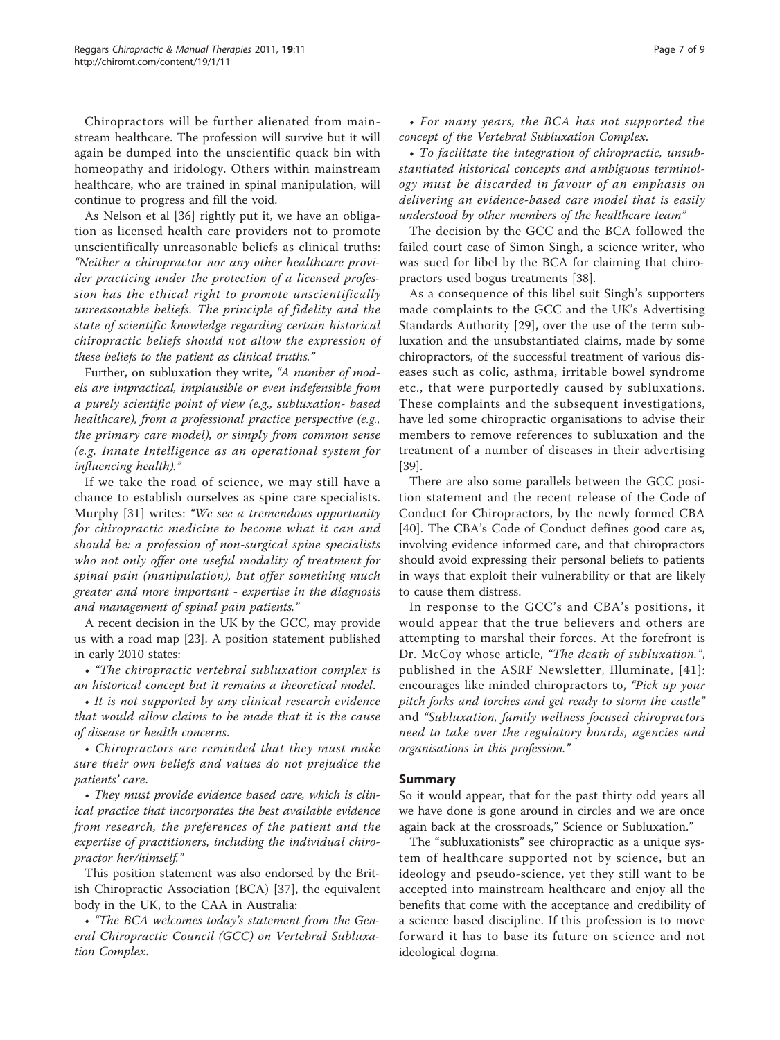Chiropractors will be further alienated from mainstream healthcare. The profession will survive but it will again be dumped into the unscientific quack bin with homeopathy and iridology. Others within mainstream healthcare, who are trained in spinal manipulation, will continue to progress and fill the void.

As Nelson et al [\[36](#page-8-0)] rightly put it, we have an obligation as licensed health care providers not to promote unscientifically unreasonable beliefs as clinical truths: "Neither a chiropractor nor any other healthcare provider practicing under the protection of a licensed profession has the ethical right to promote unscientifically unreasonable beliefs. The principle of fidelity and the state of scientific knowledge regarding certain historical chiropractic beliefs should not allow the expression of these beliefs to the patient as clinical truths."

Further, on subluxation they write, "A number of models are impractical, implausible or even indefensible from a purely scientific point of view (e.g., subluxation- based healthcare), from a professional practice perspective (e.g., the primary care model), or simply from common sense (e.g. Innate Intelligence as an operational system for influencing health)."

If we take the road of science, we may still have a chance to establish ourselves as spine care specialists. Murphy [\[31](#page-8-0)] writes: "We see a tremendous opportunity for chiropractic medicine to become what it can and should be: a profession of non-surgical spine specialists who not only offer one useful modality of treatment for spinal pain (manipulation), but offer something much greater and more important - expertise in the diagnosis and management of spinal pain patients."

A recent decision in the UK by the GCC, may provide us with a road map [[23](#page-8-0)]. A position statement published in early 2010 states:

• "The chiropractic vertebral subluxation complex is an historical concept but it remains a theoretical model.

• It is not supported by any clinical research evidence that would allow claims to be made that it is the cause of disease or health concerns.

• Chiropractors are reminded that they must make sure their own beliefs and values do not prejudice the patients' care.

• They must provide evidence based care, which is clinical practice that incorporates the best available evidence from research, the preferences of the patient and the expertise of practitioners, including the individual chiropractor her/himself."

This position statement was also endorsed by the British Chiropractic Association (BCA) [\[37](#page-8-0)], the equivalent body in the UK, to the CAA in Australia:

• "The BCA welcomes today's statement from the General Chiropractic Council (GCC) on Vertebral Subluxation Complex.

• For many years, the BCA has not supported the concept of the Vertebral Subluxation Complex.

• To facilitate the integration of chiropractic, unsubstantiated historical concepts and ambiguous terminology must be discarded in favour of an emphasis on delivering an evidence-based care model that is easily understood by other members of the healthcare team"

The decision by the GCC and the BCA followed the failed court case of Simon Singh, a science writer, who was sued for libel by the BCA for claiming that chiropractors used bogus treatments [\[38\]](#page-8-0).

As a consequence of this libel suit Singh's supporters made complaints to the GCC and the UK's Advertising Standards Authority [[29\]](#page-8-0), over the use of the term subluxation and the unsubstantiated claims, made by some chiropractors, of the successful treatment of various diseases such as colic, asthma, irritable bowel syndrome etc., that were purportedly caused by subluxations. These complaints and the subsequent investigations, have led some chiropractic organisations to advise their members to remove references to subluxation and the treatment of a number of diseases in their advertising [[39\]](#page-8-0).

There are also some parallels between the GCC position statement and the recent release of the Code of Conduct for Chiropractors, by the newly formed CBA [[40\]](#page-8-0). The CBA's Code of Conduct defines good care as, involving evidence informed care, and that chiropractors should avoid expressing their personal beliefs to patients in ways that exploit their vulnerability or that are likely to cause them distress.

In response to the GCC's and CBA's positions, it would appear that the true believers and others are attempting to marshal their forces. At the forefront is Dr. McCoy whose article, "The death of subluxation.", published in the ASRF Newsletter, Illuminate, [[41\]](#page-8-0): encourages like minded chiropractors to, "Pick up your pitch forks and torches and get ready to storm the castle" and "Subluxation, family wellness focused chiropractors need to take over the regulatory boards, agencies and organisations in this profession."

### Summary

So it would appear, that for the past thirty odd years all we have done is gone around in circles and we are once again back at the crossroads," Science or Subluxation."

The "subluxationists" see chiropractic as a unique system of healthcare supported not by science, but an ideology and pseudo-science, yet they still want to be accepted into mainstream healthcare and enjoy all the benefits that come with the acceptance and credibility of a science based discipline. If this profession is to move forward it has to base its future on science and not ideological dogma.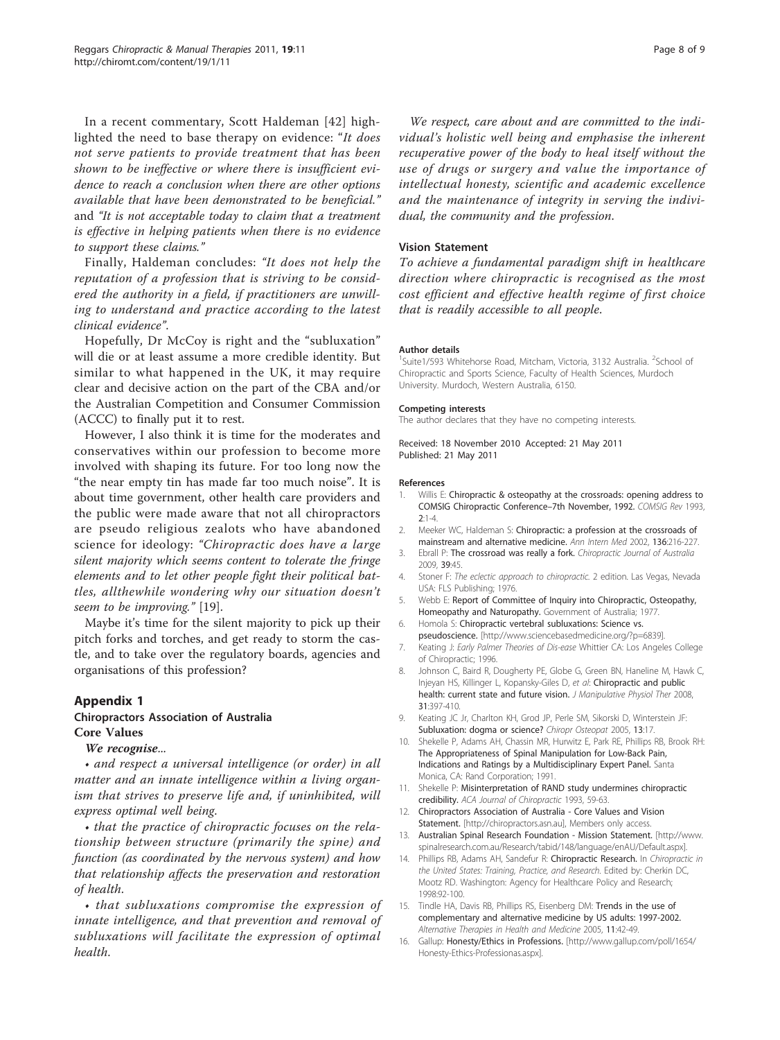<span id="page-7-0"></span>In a recent commentary, Scott Haldeman [[42](#page-8-0)] highlighted the need to base therapy on evidence: "It does not serve patients to provide treatment that has been shown to be ineffective or where there is insufficient evidence to reach a conclusion when there are other options available that have been demonstrated to be beneficial." and "It is not acceptable today to claim that a treatment is effective in helping patients when there is no evidence to support these claims."

Finally, Haldeman concludes: "It does not help the reputation of a profession that is striving to be considered the authority in a field, if practitioners are unwilling to understand and practice according to the latest clinical evidence".

Hopefully, Dr McCoy is right and the "subluxation" will die or at least assume a more credible identity. But similar to what happened in the UK, it may require clear and decisive action on the part of the CBA and/or the Australian Competition and Consumer Commission (ACCC) to finally put it to rest.

However, I also think it is time for the moderates and conservatives within our profession to become more involved with shaping its future. For too long now the "the near empty tin has made far too much noise". It is about time government, other health care providers and the public were made aware that not all chiropractors are pseudo religious zealots who have abandoned science for ideology: "Chiropractic does have a large silent majority which seems content to tolerate the fringe elements and to let other people fight their political battles, allthewhile wondering why our situation doesn't seem to be improving." [\[19\]](#page-8-0).

Maybe it's time for the silent majority to pick up their pitch forks and torches, and get ready to storm the castle, and to take over the regulatory boards, agencies and organisations of this profession?

# Appendix 1

# Chiropractors Association of Australia Core Values

#### We recognise...

• and respect a universal intelligence (or order) in all matter and an innate intelligence within a living organism that strives to preserve life and, if uninhibited, will express optimal well being.

• that the practice of chiropractic focuses on the relationship between structure (primarily the spine) and function (as coordinated by the nervous system) and how that relationship affects the preservation and restoration of health.

• that subluxations compromise the expression of innate intelligence, and that prevention and removal of subluxations will facilitate the expression of optimal health.

We respect, care about and are committed to the individual's holistic well being and emphasise the inherent recuperative power of the body to heal itself without the use of drugs or surgery and value the importance of intellectual honesty, scientific and academic excellence and the maintenance of integrity in serving the individual, the community and the profession.

#### Vision Statement

To achieve a fundamental paradigm shift in healthcare direction where chiropractic is recognised as the most cost efficient and effective health regime of first choice that is readily accessible to all people.

#### Author details

<sup>1</sup>Suite1/593 Whitehorse Road, Mitcham, Victoria, 3132 Australia. <sup>2</sup>School of Chiropractic and Sports Science, Faculty of Health Sciences, Murdoch University. Murdoch, Western Australia, 6150.

#### Competing interests

The author declares that they have no competing interests.

Received: 18 November 2010 Accepted: 21 May 2011 Published: 21 May 2011

#### References

- 1. Willis E: [Chiropractic & osteopathy at the crossroads: opening address to](http://www.ncbi.nlm.nih.gov/pubmed/17989742?dopt=Abstract) [COMSIG Chiropractic Conference](http://www.ncbi.nlm.nih.gov/pubmed/17989742?dopt=Abstract)–7th November, 1992. COMSIG Rev 1993,  $2.1 - 4$
- 2. Meeker WC, Haldeman S: [Chiropractic: a profession at the crossroads of](http://www.ncbi.nlm.nih.gov/pubmed/11827498?dopt=Abstract) [mainstream and alternative medicine.](http://www.ncbi.nlm.nih.gov/pubmed/11827498?dopt=Abstract) Ann Intern Med 2002, 136:216-227.
- 3. Ebrall P: The crossroad was really a fork. Chiropractic Journal of Australia 2009, 39:45.
- 4. Stoner F: The eclectic approach to chiropractic. 2 edition. Las Vegas, Nevada USA: FLS Publishing; 1976.
- 5. Webb E: Report of Committee of Inquiry into Chiropractic, Osteopathy, Homeopathy and Naturopathy. Government of Australia; 1977.
- 6. Homola S: Chiropractic vertebral subluxations: Science vs. pseudoscience. [\[http://www.sciencebasedmedicine.org/?p=6839](http://www.sciencebasedmedicine.org/?p=6839)].
- 7. Keating J: Early Palmer Theories of Dis-ease Whittier CA: Los Angeles College of Chiropractic; 1996.
- 8. Johnson C, Baird R, Dougherty PE, Globe G, Green BN, Haneline M, Hawk C, Injeyan HS, Killinger L, Kopansky-Giles D, et al: [Chiropractic and public](http://www.ncbi.nlm.nih.gov/pubmed/18722194?dopt=Abstract) [health: current state and future vision.](http://www.ncbi.nlm.nih.gov/pubmed/18722194?dopt=Abstract) J Manipulative Physiol Ther 2008, 31:397-410.
- 9. Keating JC Jr, Charlton KH, Grod JP, Perle SM, Sikorski D, Winterstein JF: [Subluxation: dogma or science?](http://www.ncbi.nlm.nih.gov/pubmed/16092955?dopt=Abstract) Chiropr Osteopat 2005, 13:17.
- 10. Shekelle P, Adams AH, Chassin MR, Hurwitz E, Park RE, Phillips RB, Brook RH: The Appropriateness of Spinal Manipulation for Low-Back Pain, Indications and Ratings by a Multidisciplinary Expert Panel. Santa Monica, CA: Rand Corporation; 1991.
- 11. Shekelle P: Misinterpretation of RAND study undermines chiropractic credibility. ACA Journal of Chiropractic 1993, 59-63.
- 12. Chiropractors Association of Australia Core Values and Vision Statement. [[http://chiropractors.asn.au\]](http://chiropractors.asn.au), Members only access
- 13. Australian Spinal Research Foundation Mission Statement. [[http://www.](http://www.spinalresearch.com.au/Research/tabid/148/language/enAU/Default.aspx) [spinalresearch.com.au/Research/tabid/148/language/enAU/Default.aspx\]](http://www.spinalresearch.com.au/Research/tabid/148/language/enAU/Default.aspx).
- 14. Phillips RB, Adams AH, Sandefur R: Chiropractic Research. In Chiropractic in the United States: Training, Practice, and Research. Edited by: Cherkin DC, Mootz RD. Washington: Agency for Healthcare Policy and Research; 1998:92-100.
- 15. Tindle HA, Davis RB, Phillips RS, Eisenberg DM: [Trends in the use of](http://www.ncbi.nlm.nih.gov/pubmed/15819448?dopt=Abstract) [complementary and alternative medicine by US adults: 1997-2002.](http://www.ncbi.nlm.nih.gov/pubmed/15819448?dopt=Abstract) Alternative Therapies in Health and Medicine 2005, 11:42-49.
- 16. Gallup: Honesty/Ethics in Professions. [\[http://www.gallup.com/poll/1654/](http://www.gallup.com/poll/1654/Honesty-Ethics-Professionas.aspx) [Honesty-Ethics-Professionas.aspx\]](http://www.gallup.com/poll/1654/Honesty-Ethics-Professionas.aspx).